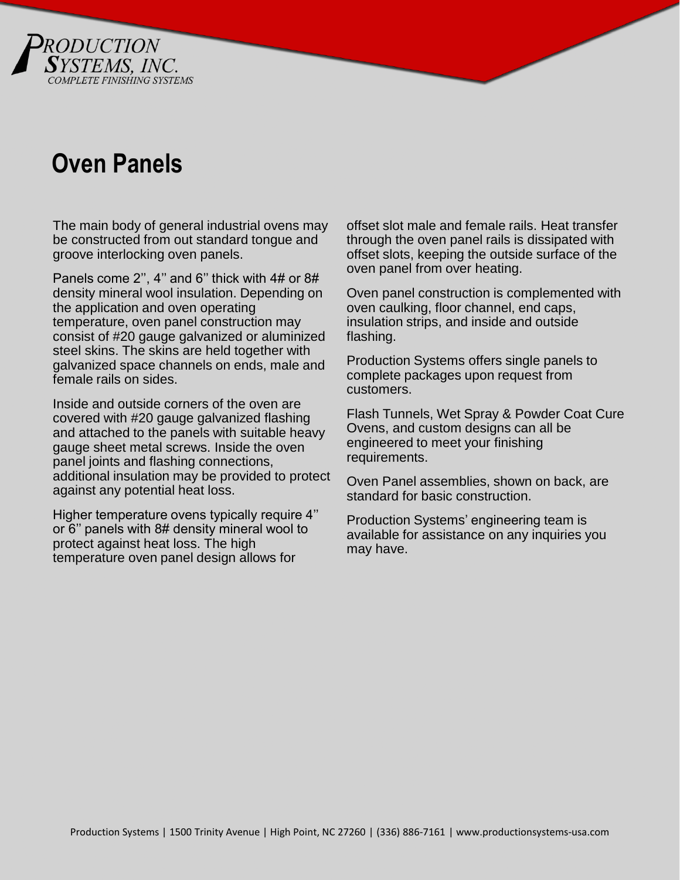

## **Oven Panels**

The main body of general industrial ovens may be constructed from out standard tongue and groove interlocking oven panels.

Panels come 2'', 4'' and 6'' thick with 4# or 8# density mineral wool insulation. Depending on the application and oven operating temperature, oven panel construction may consist of #20 gauge galvanized or aluminized steel skins. The skins are held together with galvanized space channels on ends, male and female rails on sides.

Inside and outside corners of the oven are covered with #20 gauge galvanized flashing and attached to the panels with suitable heavy gauge sheet metal screws. Inside the oven panel joints and flashing connections, additional insulation may be provided to protect against any potential heat loss.

Higher temperature ovens typically require 4'' or 6'' panels with 8# density mineral wool to protect against heat loss. The high temperature oven panel design allows for

offset slot male and female rails. Heat transfer through the oven panel rails is dissipated with offset slots, keeping the outside surface of the oven panel from over heating.

Oven panel construction is complemented with oven caulking, floor channel, end caps, insulation strips, and inside and outside flashing.

Production Systems offers single panels to complete packages upon request from customers.

Flash Tunnels, Wet Spray & Powder Coat Cure Ovens, and custom designs can all be engineered to meet your finishing requirements.

Oven Panel assemblies, shown on back, are standard for basic construction.

Production Systems' engineering team is available for assistance on any inquiries you may have.